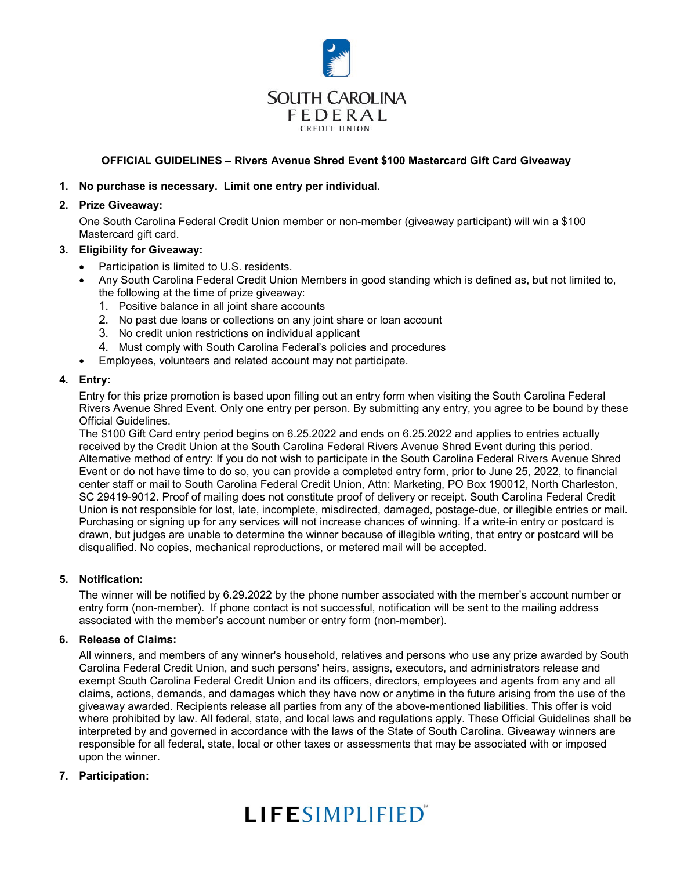

## **OFFICIAL GUIDELINES – Rivers Avenue Shred Event \$100 Mastercard Gift Card Giveaway**

### **1. No purchase is necessary. Limit one entry per individual.**

#### **2. Prize Giveaway:**

One South Carolina Federal Credit Union member or non-member (giveaway participant) will win a \$100 Mastercard gift card.

#### **3. Eligibility for Giveaway:**

- Participation is limited to U.S. residents.
- Any South Carolina Federal Credit Union Members in good standing which is defined as, but not limited to, the following at the time of prize giveaway:
	- 1. Positive balance in all joint share accounts
	- 2. No past due loans or collections on any joint share or loan account
	- 3. No credit union restrictions on individual applicant
	- 4. Must comply with South Carolina Federal's policies and procedures
- Employees, volunteers and related account may not participate.

#### **4. Entry:**

Entry for this prize promotion is based upon filling out an entry form when visiting the South Carolina Federal Rivers Avenue Shred Event. Only one entry per person. By submitting any entry, you agree to be bound by these Official Guidelines.

The \$100 Gift Card entry period begins on 6.25.2022 and ends on 6.25.2022 and applies to entries actually received by the Credit Union at the South Carolina Federal Rivers Avenue Shred Event during this period. Alternative method of entry: If you do not wish to participate in the South Carolina Federal Rivers Avenue Shred Event or do not have time to do so, you can provide a completed entry form, prior to June 25, 2022, to financial center staff or mail to South Carolina Federal Credit Union, Attn: Marketing, PO Box 190012, North Charleston, SC 29419-9012. Proof of mailing does not constitute proof of delivery or receipt. South Carolina Federal Credit Union is not responsible for lost, late, incomplete, misdirected, damaged, postage-due, or illegible entries or mail. Purchasing or signing up for any services will not increase chances of winning. If a write-in entry or postcard is drawn, but judges are unable to determine the winner because of illegible writing, that entry or postcard will be disqualified. No copies, mechanical reproductions, or metered mail will be accepted.

## **5. Notification:**

The winner will be notified by 6.29.2022 by the phone number associated with the member's account number or entry form (non-member). If phone contact is not successful, notification will be sent to the mailing address associated with the member's account number or entry form (non-member).

#### **6. Release of Claims:**

All winners, and members of any winner's household, relatives and persons who use any prize awarded by South Carolina Federal Credit Union, and such persons' heirs, assigns, executors, and administrators release and exempt South Carolina Federal Credit Union and its officers, directors, employees and agents from any and all claims, actions, demands, and damages which they have now or anytime in the future arising from the use of the giveaway awarded. Recipients release all parties from any of the above-mentioned liabilities. This offer is void where prohibited by law. All federal, state, and local laws and regulations apply. These Official Guidelines shall be interpreted by and governed in accordance with the laws of the State of South Carolina. Giveaway winners are responsible for all federal, state, local or other taxes or assessments that may be associated with or imposed upon the winner.

## **7. Participation:**

# **LIFESIMPLIFIED**